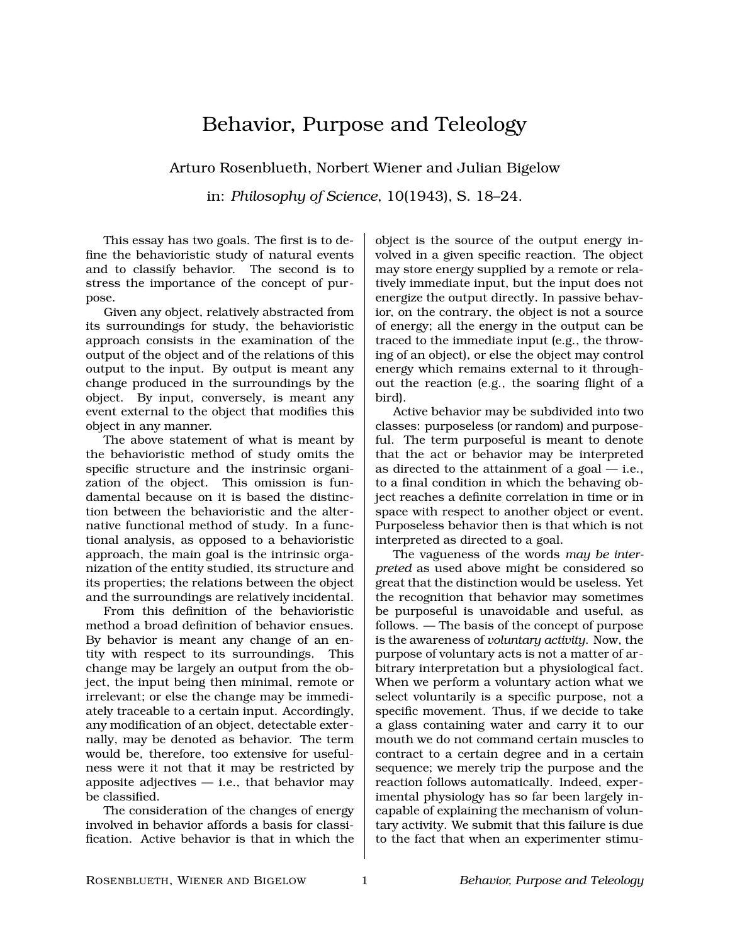## Behavior, Purpose and Teleology

Arturo Rosenblueth, Norbert Wiener and Julian Bigelow in: *Philosophy of Science*, 10(1943), S. 18–24.

This essay has two goals. The first is to define the behavioristic study of natural events and to classify behavior. The second is to stress the importance of the concept of purpose.

Given any object, relatively abstracted from its surroundings for study, the behavioristic approach consists in the examination of the output of the object and of the relations of this output to the input. By output is meant any change produced in the surroundings by the object. By input, conversely, is meant any event external to the object that modifies this object in any manner.

The above statement of what is meant by the behavioristic method of study omits the specific structure and the instrinsic organization of the object. This omission is fundamental because on it is based the distinction between the behavioristic and the alternative functional method of study. In a functional analysis, as opposed to a behavioristic approach, the main goal is the intrinsic organization of the entity studied, its structure and its properties; the relations between the object and the surroundings are relatively incidental.

From this definition of the behavioristic method a broad definition of behavior ensues. By behavior is meant any change of an entity with respect to its surroundings. This change may be largely an output from the object, the input being then minimal, remote or irrelevant; or else the change may be immediately traceable to a certain input. Accordingly, any modification of an object, detectable externally, may be denoted as behavior. The term would be, therefore, too extensive for usefulness were it not that it may be restricted by apposite adjectives  $-$  i.e., that behavior may be classified.

The consideration of the changes of energy involved in behavior affords a basis for classification. Active behavior is that in which the

object is the source of the output energy involved in a given specific reaction. The object may store energy supplied by a remote or relatively immediate input, but the input does not energize the output directly. In passive behavior, on the contrary, the object is not a source of energy; all the energy in the output can be traced to the immediate input (e.g., the throwing of an object), or else the object may control energy which remains external to it throughout the reaction (e.g., the soaring flight of a bird).

Active behavior may be subdivided into two classes: purposeless (or random) and purposeful. The term purposeful is meant to denote that the act or behavior may be interpreted as directed to the attainment of a goal  $-$  i.e., to a final condition in which the behaving object reaches a definite correlation in time or in space with respect to another object or event. Purposeless behavior then is that which is not interpreted as directed to a goal.

The vagueness of the words *may be interpreted* as used above might be considered so great that the distinction would be useless. Yet the recognition that behavior may sometimes be purposeful is unavoidable and useful, as follows. — The basis of the concept of purpose is the awareness of *voluntary activity*. Now, the purpose of voluntary acts is not a matter of arbitrary interpretation but a physiological fact. When we perform a voluntary action what we select voluntarily is a specific purpose, not a specific movement. Thus, if we decide to take a glass containing water and carry it to our mouth we do not command certain muscles to contract to a certain degree and in a certain sequence; we merely trip the purpose and the reaction follows automatically. Indeed, experimental physiology has so far been largely incapable of explaining the mechanism of voluntary activity. We submit that this failure is due to the fact that when an experimenter stimu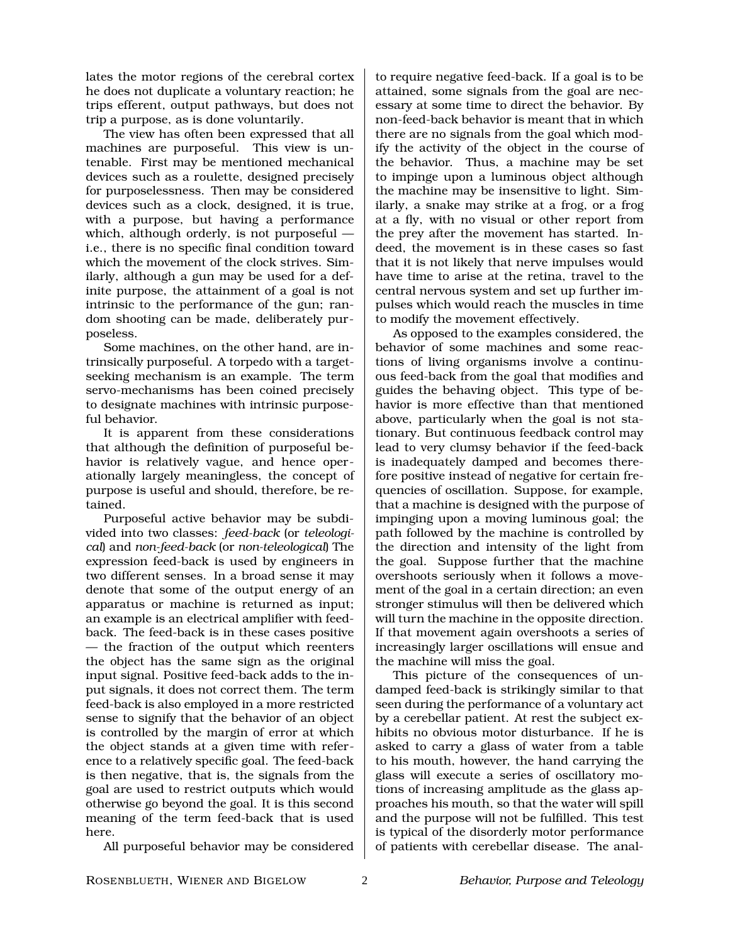lates the motor regions of the cerebral cortex he does not duplicate a voluntary reaction; he trips efferent, output pathways, but does not trip a purpose, as is done voluntarily.

The view has often been expressed that all machines are purposeful. This view is untenable. First may be mentioned mechanical devices such as a roulette, designed precisely for purposelessness. Then may be considered devices such as a clock, designed, it is true, with a purpose, but having a performance which, although orderly, is not purposeful i.e., there is no specific final condition toward which the movement of the clock strives. Similarly, although a gun may be used for a definite purpose, the attainment of a goal is not intrinsic to the performance of the gun; random shooting can be made, deliberately purposeless.

Some machines, on the other hand, are intrinsically purposeful. A torpedo with a targetseeking mechanism is an example. The term servo-mechanisms has been coined precisely to designate machines with intrinsic purposeful behavior.

It is apparent from these considerations that although the definition of purposeful behavior is relatively vague, and hence operationally largely meaningless, the concept of purpose is useful and should, therefore, be retained.

Purposeful active behavior may be subdivided into two classes: *feed-back* (or *teleological*) and *non-feed-back* (or *non-teleological*) The expression feed-back is used by engineers in two different senses. In a broad sense it may denote that some of the output energy of an apparatus or machine is returned as input; an example is an electrical amplifier with feedback. The feed-back is in these cases positive — the fraction of the output which reenters the object has the same sign as the original input signal. Positive feed-back adds to the input signals, it does not correct them. The term feed-back is also employed in a more restricted sense to signify that the behavior of an object is controlled by the margin of error at which the object stands at a given time with reference to a relatively specific goal. The feed-back is then negative, that is, the signals from the goal are used to restrict outputs which would otherwise go beyond the goal. It is this second meaning of the term feed-back that is used here.

All purposeful behavior may be considered

to require negative feed-back. If a goal is to be attained, some signals from the goal are necessary at some time to direct the behavior. By non-feed-back behavior is meant that in which there are no signals from the goal which modify the activity of the object in the course of the behavior. Thus, a machine may be set to impinge upon a luminous object although the machine may be insensitive to light. Similarly, a snake may strike at a frog, or a frog at a fly, with no visual or other report from the prey after the movement has started. Indeed, the movement is in these cases so fast that it is not likely that nerve impulses would have time to arise at the retina, travel to the central nervous system and set up further impulses which would reach the muscles in time to modify the movement effectively.

As opposed to the examples considered, the behavior of some machines and some reactions of living organisms involve a continuous feed-back from the goal that modifies and guides the behaving object. This type of behavior is more effective than that mentioned above, particularly when the goal is not stationary. But continuous feedback control may lead to very clumsy behavior if the feed-back is inadequately damped and becomes therefore positive instead of negative for certain frequencies of oscillation. Suppose, for example, that a machine is designed with the purpose of impinging upon a moving luminous goal; the path followed by the machine is controlled by the direction and intensity of the light from the goal. Suppose further that the machine overshoots seriously when it follows a movement of the goal in a certain direction; an even stronger stimulus will then be delivered which will turn the machine in the opposite direction. If that movement again overshoots a series of increasingly larger oscillations will ensue and the machine will miss the goal.

This picture of the consequences of undamped feed-back is strikingly similar to that seen during the performance of a voluntary act by a cerebellar patient. At rest the subject exhibits no obvious motor disturbance. If he is asked to carry a glass of water from a table to his mouth, however, the hand carrying the glass will execute a series of oscillatory motions of increasing amplitude as the glass approaches his mouth, so that the water will spill and the purpose will not be fulfilled. This test is typical of the disorderly motor performance of patients with cerebellar disease. The anal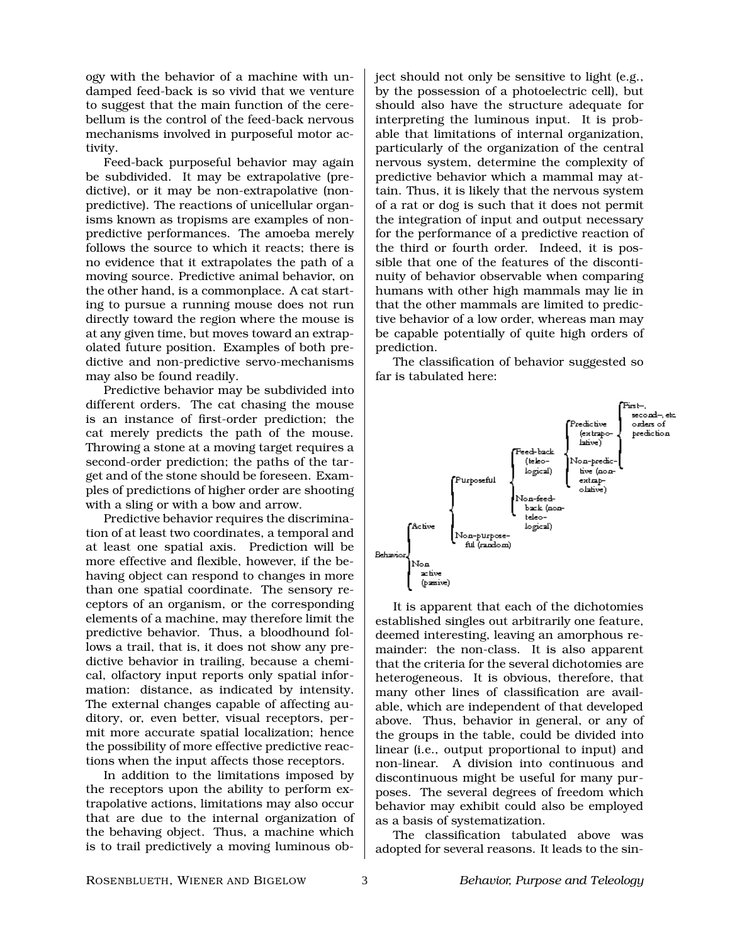ogy with the behavior of a machine with undamped feed-back is so vivid that we venture to suggest that the main function of the cerebellum is the control of the feed-back nervous mechanisms involved in purposeful motor activity.

Feed-back purposeful behavior may again be subdivided. It may be extrapolative (predictive), or it may be non-extrapolative (nonpredictive). The reactions of unicellular organisms known as tropisms are examples of nonpredictive performances. The amoeba merely follows the source to which it reacts; there is no evidence that it extrapolates the path of a moving source. Predictive animal behavior, on the other hand, is a commonplace. A cat starting to pursue a running mouse does not run directly toward the region where the mouse is at any given time, but moves toward an extrapolated future position. Examples of both predictive and non-predictive servo-mechanisms may also be found readily.

Predictive behavior may be subdivided into different orders. The cat chasing the mouse is an instance of first-order prediction; the cat merely predicts the path of the mouse. Throwing a stone at a moving target requires a second-order prediction; the paths of the target and of the stone should be foreseen. Examples of predictions of higher order are shooting with a sling or with a bow and arrow.

Predictive behavior requires the discrimination of at least two coordinates, a temporal and at least one spatial axis. Prediction will be more effective and flexible, however, if the behaving object can respond to changes in more than one spatial coordinate. The sensory receptors of an organism, or the corresponding elements of a machine, may therefore limit the predictive behavior. Thus, a bloodhound follows a trail, that is, it does not show any predictive behavior in trailing, because a chemical, olfactory input reports only spatial information: distance, as indicated by intensity. The external changes capable of affecting auditory, or, even better, visual receptors, permit more accurate spatial localization; hence the possibility of more effective predictive reactions when the input affects those receptors.

In addition to the limitations imposed by the receptors upon the ability to perform extrapolative actions, limitations may also occur that are due to the internal organization of the behaving object. Thus, a machine which is to trail predictively a moving luminous object should not only be sensitive to light (e.g., by the possession of a photoelectric cell), but should also have the structure adequate for interpreting the luminous input. It is probable that limitations of internal organization, particularly of the organization of the central nervous system, determine the complexity of predictive behavior which a mammal may attain. Thus, it is likely that the nervous system of a rat or dog is such that it does not permit the integration of input and output necessary for the performance of a predictive reaction of the third or fourth order. Indeed, it is possible that one of the features of the discontinuity of behavior observable when comparing humans with other high mammals may lie in that the other mammals are limited to predictive behavior of a low order, whereas man may be capable potentially of quite high orders of prediction.

The classification of behavior suggested so far is tabulated here:



It is apparent that each of the dichotomies established singles out arbitrarily one feature, deemed interesting, leaving an amorphous remainder: the non-class. It is also apparent that the criteria for the several dichotomies are heterogeneous. It is obvious, therefore, that many other lines of classification are available, which are independent of that developed above. Thus, behavior in general, or any of the groups in the table, could be divided into linear (i.e., output proportional to input) and non-linear. A division into continuous and discontinuous might be useful for many purposes. The several degrees of freedom which behavior may exhibit could also be employed as a basis of systematization.

The classification tabulated above was adopted for several reasons. It leads to the sin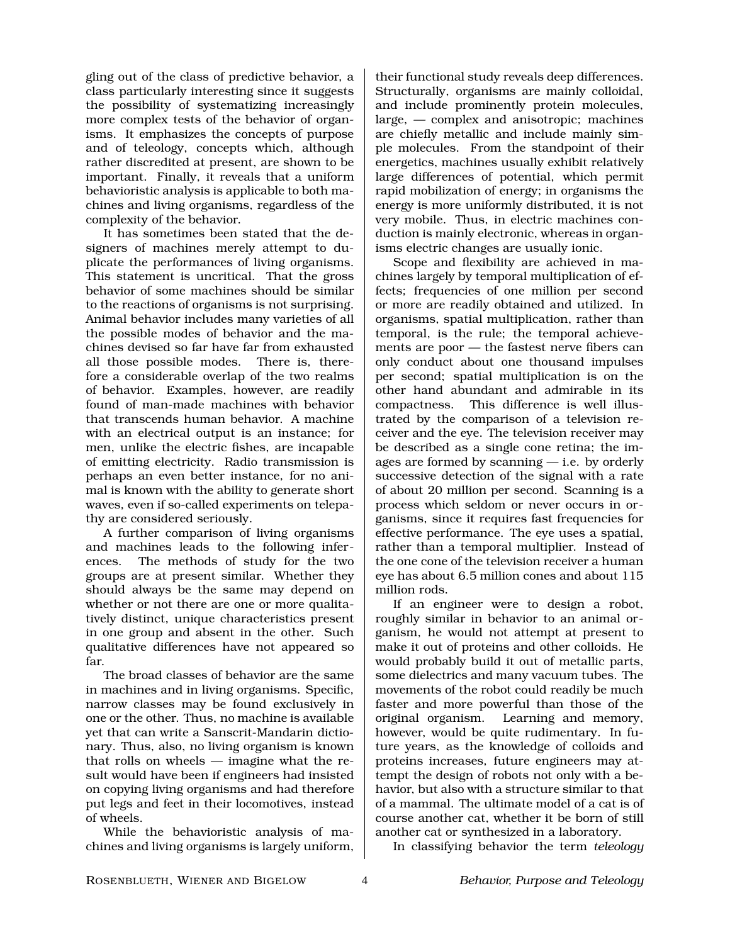gling out of the class of predictive behavior, a class particularly interesting since it suggests the possibility of systematizing increasingly more complex tests of the behavior of organisms. It emphasizes the concepts of purpose and of teleology, concepts which, although rather discredited at present, are shown to be important. Finally, it reveals that a uniform behavioristic analysis is applicable to both machines and living organisms, regardless of the complexity of the behavior.

It has sometimes been stated that the designers of machines merely attempt to duplicate the performances of living organisms. This statement is uncritical. That the gross behavior of some machines should be similar to the reactions of organisms is not surprising. Animal behavior includes many varieties of all the possible modes of behavior and the machines devised so far have far from exhausted all those possible modes. There is, therefore a considerable overlap of the two realms of behavior. Examples, however, are readily found of man-made machines with behavior that transcends human behavior. A machine with an electrical output is an instance; for men, unlike the electric fishes, are incapable of emitting electricity. Radio transmission is perhaps an even better instance, for no animal is known with the ability to generate short waves, even if so-called experiments on telepathy are considered seriously.

A further comparison of living organisms and machines leads to the following inferences. The methods of study for the two groups are at present similar. Whether they should always be the same may depend on whether or not there are one or more qualitatively distinct, unique characteristics present in one group and absent in the other. Such qualitative differences have not appeared so far.

The broad classes of behavior are the same in machines and in living organisms. Specific, narrow classes may be found exclusively in one or the other. Thus, no machine is available yet that can write a Sanscrit-Mandarin dictionary. Thus, also, no living organism is known that rolls on wheels — imagine what the result would have been if engineers had insisted on copying living organisms and had therefore put legs and feet in their locomotives, instead of wheels.

While the behavioristic analysis of machines and living organisms is largely uniform, their functional study reveals deep differences. Structurally, organisms are mainly colloidal, and include prominently protein molecules, large, — complex and anisotropic; machines are chiefly metallic and include mainly simple molecules. From the standpoint of their energetics, machines usually exhibit relatively large differences of potential, which permit rapid mobilization of energy; in organisms the energy is more uniformly distributed, it is not very mobile. Thus, in electric machines conduction is mainly electronic, whereas in organisms electric changes are usually ionic.

Scope and flexibility are achieved in machines largely by temporal multiplication of effects; frequencies of one million per second or more are readily obtained and utilized. In organisms, spatial multiplication, rather than temporal, is the rule; the temporal achievements are poor — the fastest nerve fibers can only conduct about one thousand impulses per second; spatial multiplication is on the other hand abundant and admirable in its compactness. This difference is well illustrated by the comparison of a television receiver and the eye. The television receiver may be described as a single cone retina; the images are formed by scanning — i.e. by orderly successive detection of the signal with a rate of about 20 million per second. Scanning is a process which seldom or never occurs in organisms, since it requires fast frequencies for effective performance. The eye uses a spatial, rather than a temporal multiplier. Instead of the one cone of the television receiver a human eye has about 6.5 million cones and about 115 million rods.

If an engineer were to design a robot, roughly similar in behavior to an animal organism, he would not attempt at present to make it out of proteins and other colloids. He would probably build it out of metallic parts, some dielectrics and many vacuum tubes. The movements of the robot could readily be much faster and more powerful than those of the original organism. Learning and memory, however, would be quite rudimentary. In future years, as the knowledge of colloids and proteins increases, future engineers may attempt the design of robots not only with a behavior, but also with a structure similar to that of a mammal. The ultimate model of a cat is of course another cat, whether it be born of still another cat or synthesized in a laboratory.

In classifying behavior the term *teleology*